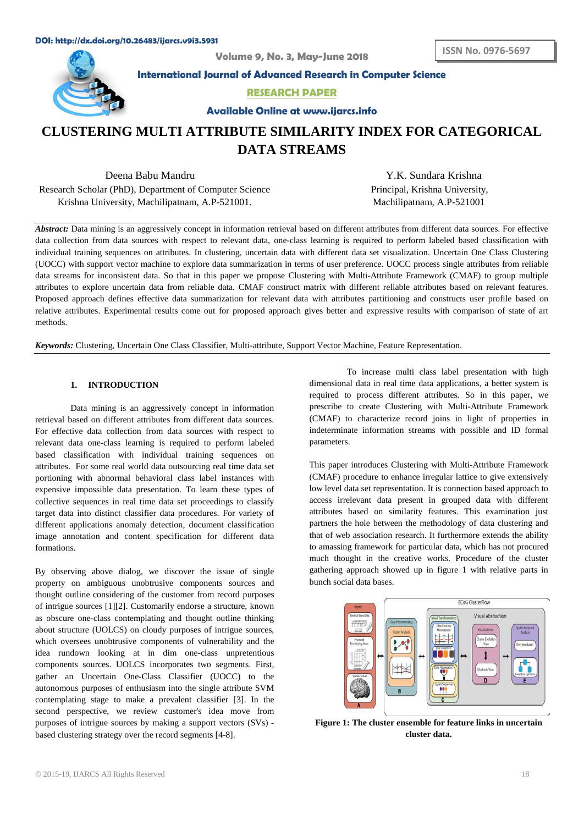**Volume 9, No. 3, May-June 2018**



**International Journal of Advanced Research in Computer Science**

**RESEARCH PAPER**

**Available Online at www.ijarcs.info**

# **CLUSTERING MULTI ATTRIBUTE SIMILARITY INDEX FOR CATEGORICAL DATA STREAMS**

Deena Babu Mandru Y.K. Sundara Krishna Research Scholar (PhD), Department of Computer Science Krishna University, Machilipatnam, A.P-521001. Machilipatnam, A.P-521001

Principal, Krishna University,

*Abstract:* Data mining is an aggressively concept in information retrieval based on different attributes from different data sources. For effective data collection from data sources with respect to relevant data, one-class learning is required to perform labeled based classification with individual training sequences on attributes. In clustering, uncertain data with different data set visualization. Uncertain One Class Clustering (UOCC) with support vector machine to explore data summarization in terms of user preference. UOCC process single attributes from reliable data streams for inconsistent data. So that in this paper we propose Clustering with Multi-Attribute Framework (CMAF) to group multiple attributes to explore uncertain data from reliable data. CMAF construct matrix with different reliable attributes based on relevant features. Proposed approach defines effective data summarization for relevant data with attributes partitioning and constructs user profile based on relative attributes. Experimental results come out for proposed approach gives better and expressive results with comparison of state of art methods.

*Keywords:* Clustering, Uncertain One Class Classifier, Multi-attribute, Support Vector Machine, Feature Representation.

## **1. INTRODUCTION**

Data mining is an aggressively concept in information retrieval based on different attributes from different data sources. For effective data collection from data sources with respect to relevant data one-class learning is required to perform labeled based classification with individual training sequences on attributes. For some real world data outsourcing real time data set portioning with abnormal behavioral class label instances with expensive impossible data presentation. To learn these types of collective sequences in real time data set proceedings to classify target data into distinct classifier data procedures. For variety of different applications anomaly detection, document classification image annotation and content specification for different data formations.

By observing above dialog, we discover the issue of single property on ambiguous unobtrusive components sources and thought outline considering of the customer from record purposes of intrigue sources [1][2]. Customarily endorse a structure, known as obscure one-class contemplating and thought outline thinking about structure (UOLCS) on cloudy purposes of intrigue sources, which oversees unobtrusive components of vulnerability and the idea rundown looking at in dim one-class unpretentious components sources. UOLCS incorporates two segments. First, gather an Uncertain One-Class Classifier (UOCC) to the autonomous purposes of enthusiasm into the single attribute SVM contemplating stage to make a prevalent classifier [3]. In the second perspective, we review customer's idea move from purposes of intrigue sources by making a support vectors (SVs) based clustering strategy over the record segments [4-8].

To increase multi class label presentation with high dimensional data in real time data applications, a better system is required to process different attributes. So in this paper, we prescribe to create Clustering with Multi-Attribute Framework (CMAF) to characterize record joins in light of properties in indeterminate information streams with possible and ID formal parameters.

This paper introduces Clustering with Multi-Attribute Framework (CMAF) procedure to enhance irregular lattice to give extensively low level data set representation. It is connection based approach to access irrelevant data present in grouped data with different attributes based on similarity features. This examination just partners the hole between the methodology of data clustering and that of web association research. It furthermore extends the ability to amassing framework for particular data, which has not procured much thought in the creative works. Procedure of the cluster gathering approach showed up in figure 1 with relative parts in bunch social data bases.



**Figure 1: The cluster ensemble for feature links in uncertain cluster data.**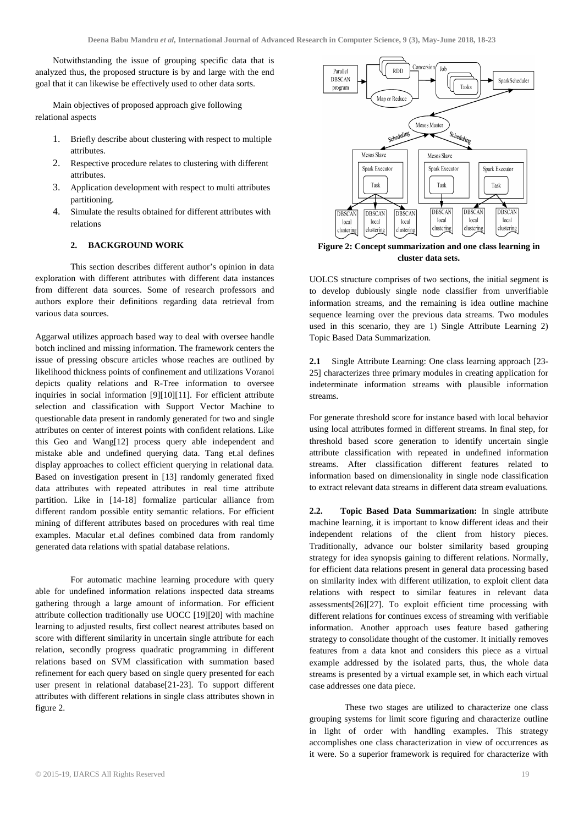Notwithstanding the issue of grouping specific data that is analyzed thus, the proposed structure is by and large with the end goal that it can likewise be effectively used to other data sorts.

Main objectives of proposed approach give following relational aspects

- 1. Briefly describe about clustering with respect to multiple attributes.
- 2. Respective procedure relates to clustering with different attributes.
- 3. Application development with respect to multi attributes partitioning.
- 4. Simulate the results obtained for different attributes with relations

## **2. BACKGROUND WORK**

This section describes different author's opinion in data exploration with different attributes with different data instances from different data sources. Some of research professors and authors explore their definitions regarding data retrieval from various data sources.

Aggarwal utilizes approach based way to deal with oversee handle botch inclined and missing information. The framework centers the issue of pressing obscure articles whose reaches are outlined by likelihood thickness points of confinement and utilizations Voranoi depicts quality relations and R-Tree information to oversee inquiries in social information [9][10][11]. For efficient attribute selection and classification with Support Vector Machine to questionable data present in randomly generated for two and single attributes on center of interest points with confident relations. Like this Geo and Wang[12] process query able independent and mistake able and undefined querying data. Tang et.al defines display approaches to collect efficient querying in relational data. Based on investigation present in [13] randomly generated fixed data attributes with repeated attributes in real time attribute partition. Like in [14-18] formalize particular alliance from different random possible entity semantic relations. For efficient mining of different attributes based on procedures with real time examples. Macular et.al defines combined data from randomly generated data relations with spatial database relations.

For automatic machine learning procedure with query able for undefined information relations inspected data streams gathering through a large amount of information. For efficient attribute collection traditionally use UOCC [19][20] with machine learning to adjusted results, first collect nearest attributes based on score with different similarity in uncertain single attribute for each relation, secondly progress quadratic programming in different relations based on SVM classification with summation based refinement for each query based on single query presented for each user present in relational database[21-23]. To support different attributes with different relations in single class attributes shown in figure 2.



**Figure 2: Concept summarization and one class learning in cluster data sets.**

UOLCS structure comprises of two sections, the initial segment is to develop dubiously single node classifier from unverifiable information streams, and the remaining is idea outline machine sequence learning over the previous data streams. Two modules used in this scenario, they are 1) Single Attribute Learning 2) Topic Based Data Summarization.

**2.1** Single Attribute Learning: One class learning approach [23- 25] characterizes three primary modules in creating application for indeterminate information streams with plausible information streams.

For generate threshold score for instance based with local behavior using local attributes formed in different streams. In final step, for threshold based score generation to identify uncertain single attribute classification with repeated in undefined information streams. After classification different features related to information based on dimensionality in single node classification to extract relevant data streams in different data stream evaluations.

**2.2. Topic Based Data Summarization:** In single attribute machine learning, it is important to know different ideas and their independent relations of the client from history pieces. Traditionally, advance our bolster similarity based grouping strategy for idea synopsis gaining to different relations. Normally, for efficient data relations present in general data processing based on similarity index with different utilization, to exploit client data relations with respect to similar features in relevant data assessments[26][27]. To exploit efficient time processing with different relations for continues excess of streaming with verifiable information. Another approach uses feature based gathering strategy to consolidate thought of the customer. It initially removes features from a data knot and considers this piece as a virtual example addressed by the isolated parts, thus, the whole data streams is presented by a virtual example set, in which each virtual case addresses one data piece.

These two stages are utilized to characterize one class grouping systems for limit score figuring and characterize outline in light of order with handling examples. This strategy accomplishes one class characterization in view of occurrences as it were. So a superior framework is required for characterize with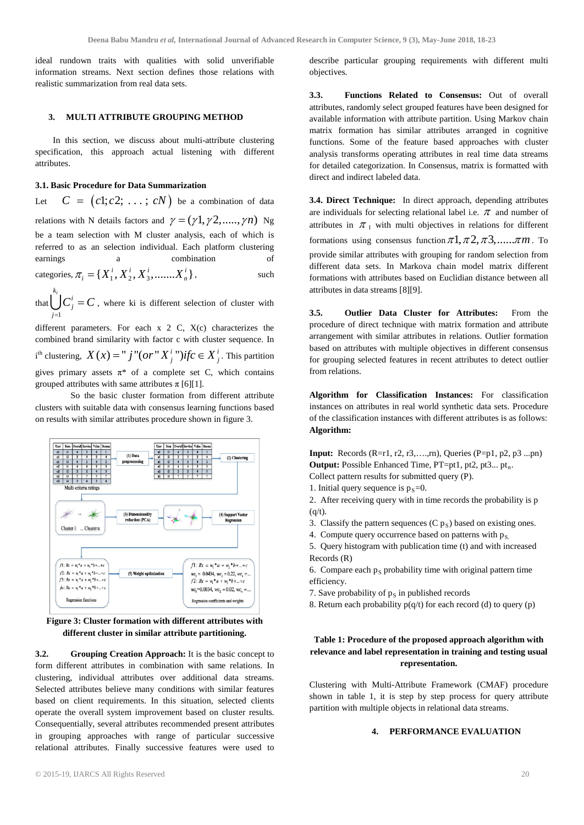ideal rundown traits with qualities with solid unverifiable information streams. Next section defines those relations with realistic summarization from real data sets.

### **3. MULTI ATTRIBUTE GROUPING METHOD**

In this section, we discuss about multi-attribute clustering specification, this approach actual listening with different attributes.

## **3.1. Basic Procedure for Data Summarization**

Let  $C = (c1; c2; \ldots; cN)$  be a combination of data relations with N details factors and  $\gamma = (\gamma 1, \gamma 2, \dots, \gamma n)$  Ng be a team selection with M cluster analysis, each of which is referred to as an selection individual. Each platform clustering earnings a combination of  $\text{categories}, \pi_i = \{X_1^i, X_2^i, X_3^i, \dots, X_n^i\},$  such

that 1  $k_i$ <sup>*i*</sup>  $\bigcup C_j^i = C$ , where ki is different selection of cluster with *j* =

different parameters. For each x 2 C, X(c) characterizes the combined brand similarity with factor c with cluster sequence. In  $i^{\text{th}}$  clustering,  $X(x) = "j" (or "X_j^i")$ *ifc*  $\in X_j^i$ . This partition gives primary assets  $\pi^*$  of a complete set C, which contains grouped attributes with same attributes  $\pi$  [6][1].

So the basic cluster formation from different attribute clusters with suitable data with consensus learning functions based on results with similar attributes procedure shown in figure 3.



**Figure 3: Cluster formation with different attributes with different cluster in similar attribute partitioning.** 

**3.2. Grouping Creation Approach:** It is the basic concept to form different attributes in combination with same relations. In clustering, individual attributes over additional data streams. Selected attributes believe many conditions with similar features based on client requirements. In this situation, selected clients operate the overall system improvement based on cluster results. Consequentially, several attributes recommended present attributes in grouping approaches with range of particular successive relational attributes. Finally successive features were used to

describe particular grouping requirements with different multi objectives.

**3.3. Functions Related to Consensus:** Out of overall attributes, randomly select grouped features have been designed for available information with attribute partition. Using Markov chain matrix formation has similar attributes arranged in cognitive functions. Some of the feature based approaches with cluster analysis transforms operating attributes in real time data streams for detailed categorization. In Consensus, matrix is formatted with direct and indirect labeled data.

**3.4. Direct Technique:** In direct approach, depending attributes are individuals for selecting relational label i.e.  $\pi$  and number of attributes in  $\pi_1$  with multi objectives in relations for different formations using consensus function  $\pi 1, \pi 2, \pi 3, \ldots, \pi m$ . To provide similar attributes with grouping for random selection from different data sets. In Markova chain model matrix different formations with attributes based on Euclidian distance between all attributes in data streams [8][9].

**3.5. Outlier Data Cluster for Attributes:** From the procedure of direct technique with matrix formation and attribute arrangement with similar attributes in relations. Outlier formation based on attributes with multiple objectives in different consensus for grouping selected features in recent attributes to detect outlier from relations.

**Algorithm for Classification Instances:** For classification instances on attributes in real world synthetic data sets. Procedure of the classification instances with different attributes is as follows: **Algorithm:**

**Input:** Records (R=r1, r2, r3,….,rn), Queries (P=p1, p2, p3 ...pn) **Output:** Possible Enhanced Time, PT=pt1, pt2, pt3... pt<sub>n</sub>. Collect pattern results for submitted query (P).

- 1. Initial query sequence is  $p_s=0$ .
- 2. After receiving query with in time records the probability is p  $(q/t)$ .
- 3. Classify the pattern sequences  $(C p<sub>S</sub>)$  based on existing ones.
- 4. Compute query occurrence based on patterns with  $p_S$ .
- 5. Query histogram with publication time (t) and with increased Records (R)
- 6. Compare each  $p_S$  probability time with original pattern time efficiency.
- 7. Save probability of  $p<sub>S</sub>$  in published records
- 8. Return each probability  $p(q/t)$  for each record (d) to query (p)

## **Table 1: Procedure of the proposed approach algorithm with relevance and label representation in training and testing usual representation.**

Clustering with Multi-Attribute Framework (CMAF) procedure shown in table 1, it is step by step process for query attribute partition with multiple objects in relational data streams.

#### **4. PERFORMANCE EVALUATION**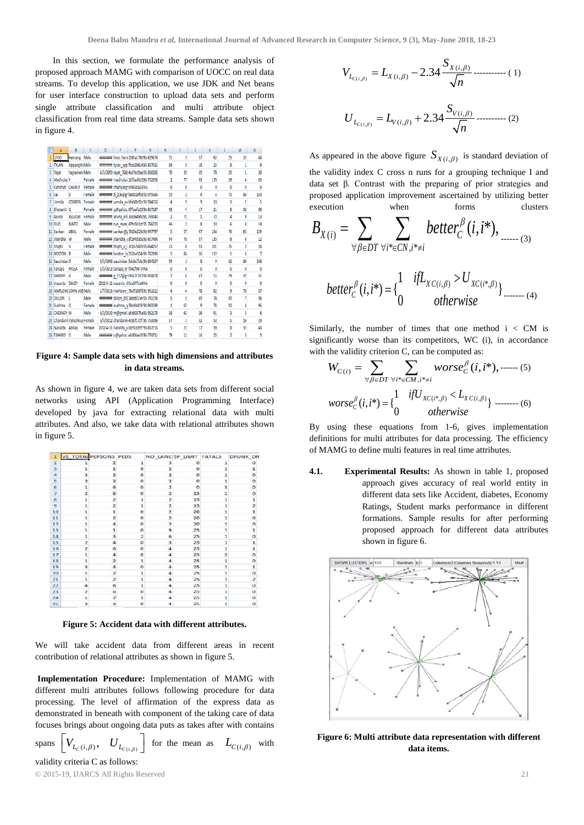In this section, we formulate the performance analysis of proposed approach MAMG with comparison of UOCC on real data streams. To develop this application, we use JDK and Net beans for user interface construction to upload data sets and perform single attribute classification and multi attribute object classification from real time data streams. Sample data sets shown in figure 4.

|   | Δ                             | R              | c      | n | р |                                                | G | Н  |                          |                         | ĸ              |                | м  | N              |
|---|-------------------------------|----------------|--------|---|---|------------------------------------------------|---|----|--------------------------|-------------------------|----------------|----------------|----|----------------|
|   | <b>LIVIO</b>                  | Hemang Male    |        |   |   | ####### livio hem 208fa1780 91-829876          |   | 71 | 5                        | 57                      | 62             | 25             | 23 | 48             |
|   | 2 TYLAN                       | ApparajitcMale |        |   |   | <b>INTERFERT tylen app fbac38614 91-837531</b> |   | 89 | 5                        | 18                      | 23             | 8              | 1  | 9              |
| 3 | Rajat                         | Vajramani Male |        |   |   | 6/5/2009 rajat_768(4cc7ec9aa 91-838282         |   | 78 | 39                       | 39                      | 78             | 29             | 1  | 30             |
|   | <b>MadhulatiY</b>             |                | Female |   |   | BBBBBBB madhulat: 12f5ad0d191-752958           |   | 2  | π                        | 93                      | 170            | 59             | Λ  | 63             |
|   | Kanchan CHARLY                |                | Female |   |   | <b>ENERGY Charly@grof933ca23 NA</b>            |   | Ō  | ٥                        | o                       | 0              | 0              | 0  | 0              |
| 6 | Sai                           | D              | Female |   |   | ######## d_236@gr ba0028f0d91-979586           |   | 19 | 2                        | 4                       | 6              | $\overline{B}$ | 86 | 159            |
| 7 | Urmila                        | CORREN         | Female |   |   |                                                |   | 4  | ٩                        | ٩                       | 18             | 3              | 2  | 5              |
|   | 8 Shevanti Q                  |                | Female |   |   | ####### q@yahoo.67feafb2591-837287             |   | 98 | đ                        | 17                      | 21             | Ř              | 58 | 66             |
|   | 9 Aruna                       | KELECHI        | Female |   |   | IMMINIMI aruna kel 33c3649da 91-759243         |   | 2  | Л                        | 1                       | $\overline{n}$ | 4              | 9  | 13             |
|   | 10 RUO                        | <b>MATE</b>    | Male   |   |   | ####### ruo mate 47fe5b1cf 91-766223           |   | 46 | $\overline{\phantom{a}}$ | R                       | 10             | ĥ              | R  | 14             |
|   | 11 Sankari                    | ABUL           | Female |   |   | ####### sankari@; 7610e223/91-997797           |   | 5  | 57                       | 97                      | 154            | 76             | 83 | 159            |
|   | 12 Jitendra                   | W              | Male   |   |   | ######## jitendra v8f294d3da91-917464          |   | 94 | 78                       | 57                      | 135            | 6              | 6  | 12             |
|   | 13 Trupti                     | V              | Female |   |   | <b>EREEFERE trupti v 53c187580591-864257</b>   |   | 33 | 8                        | 93                      | 101            | z              | 3  | 28             |
|   | 14 BOSTON B                   |                | Male   |   |   | ####### boston br252be354-91-762393            |   | Ś  | MS.                      | $\mathfrak{B}$          | 112            | 1              | ĥ  | $\overline{7}$ |
|   | 15 Sacchidan O                |                | Male   |   |   | 9/5/2006 sacchidan 9dc6cffdb 91-834257         |   | 99 | 1                        | ŝ                       | 9              | 62             | 86 | 148            |
|   | 16 Tanava                     | <b>RYLEA</b>   | Female |   |   | 1/5/2013 tanaya_ry f341f9477/NA                |   | 0  | ٥                        | Ö                       | $\bf{0}$       | 0              | 0  | $\bf{0}$       |
|   | 17 SHERIFF                    | G              | Male   |   |   | ининине g_157@gr 6f667c7d7 91-974878           |   | 2  | g                        | 47                      | s              | 29             | 32 | 61             |
|   | 18 Vasanta DALEY              |                | Female |   |   | 2012-0-11 vasanta d'Oce5f7cb4 NA               |   | n  | n                        | Λ                       | n              | n              | n  | $\sqrt{2}$     |
|   | 19 MARLOWEJOHN JOE Male       |                |        |   |   | 1/7/2013 marlowe 73d71067t91-931812            |   | 4  | 4                        | 78                      | 82             | 9              | 78 | 87             |
|   | 20 DILLON                     | п              | Male   |   |   | ######## dillon_8913abd011ei91-761196          |   | 5  | 5                        | 69                      | 74             | 89             | 7  | 96             |
|   | 21 Sushma                     | $\circ$        | Female |   |   | ######## sushma q39ddb459'91-943599            |   | 1  | 65                       | 9                       | 74             | 92             | 4  | 96             |
|   | 22 CHESNEY M                  |                | Male   |   |   | 3/2/2010 m@gmail. a5c80375a 91-952178          |   | 38 | 63                       | $\overline{\mathbf{z}}$ | 91             | 3              | 3  | 6              |
|   | 23 Chandan i Palashkus Female |                |        |   |   | 3/3/2012 chandanik4c91f172f.91-753396          |   | 57 | ı                        | 52                      | 53             | 5              | 14 | 19             |
|   | 24 Nandita Abhay              |                | Female |   |   | 2012-4-31 nandita a b691dd9f: 91-837153        |   | 5  | $\boldsymbol{\eta}$      | 17                      | 39             | g              | 32 | Δn             |
|   | 25 TAHMID O                   |                | Male   |   |   | ####### o@yahoo.eb80de33 91-774711             |   | 79 | 11                       | 14                      | 25             | $\overline{2}$ | ٩  | 5              |

#### **Figure 4: Sample data sets with high dimensions and attributes in data streams.**

As shown in figure 4, we are taken data sets from different social networks using API (Application Programming Interface) developed by java for extracting relational data with multi attributes. And also, we take data with relational attributes shown in figure 5.

| ı                       | <b>VE_TOTAL PERSONS PEDS</b> |                         |                |                         | NO LANE SP LIMIT FATALS |                         | <b>DRUNK DR</b> |
|-------------------------|------------------------------|-------------------------|----------------|-------------------------|-------------------------|-------------------------|-----------------|
| $\overline{2}$          |                              | $\overline{\mathbf{z}}$ | $\mathbf{1}$   | 3                       | $\circ$                 | 1                       | $\circ$         |
| $\overline{\mathbf{3}}$ | 1                            | 1                       | $\circ$        | $\overline{2}$          | $\circ$                 | $\mathbf{1}$            | $\mathbf{1}$    |
| $\overline{a}$          | з                            | 3                       | $\Omega$       | $\overline{\mathbf{z}}$ | $\circ$                 | 1                       | $\circ$         |
| 5                       | $\overline{\mathbf{z}}$      | $\overline{\mathbf{z}}$ | $\circ$        | $\overline{\mathbf{z}}$ | $\circ$                 | 1                       | $\circ$         |
| $\overline{6}$          | $\mathbf{1}$                 | 6                       | $\circ$        | $\overline{2}$          | $\circ$                 | 3                       | $\circ$         |
| $\overline{z}$          | $\overline{2}$               | $\mathbf{g}$            | $\circ$        | $\overline{\mathbf{z}}$ | 15                      | 1                       | $\circ$         |
| 8                       | 1                            | $\overline{\mathbf{z}}$ | $\mathbf{1}$   | $\overline{\mathbf{z}}$ | 15                      | $\mathbf{1}$            | 1               |
| 9                       | 1                            | $\overline{a}$          | 1              | $\overline{2}$          | 15                      | 1                       | 2               |
| 10                      | 1                            | $\mathbf{1}$            | $\Omega$       | $\overline{2}$          | 20                      | 1                       | 1               |
| 11                      | 1                            | 2                       | $\Omega$       | $\overline{2}$          | 20                      | 1                       | $\Omega$        |
| 12                      | 1                            | 4                       | $\Omega$       | $\overline{2}$          | 20                      | $\mathbf{1}$            | $\Omega$        |
| 13                      | 1                            | $\mathbf{1}$            | $\Omega$       | 9                       | 25                      | 1                       | $\mathbf{1}$    |
| 14                      | $\mathbf{1}$                 | 3                       | $\overline{2}$ | 6                       | 25                      | $\mathbf{1}$            | $\Omega$        |
| 15                      | $\overline{a}$               | $\overline{a}$          | $\Omega$       | 5                       | 25                      | 1                       | $\mathbf{1}$    |
| 16                      | $\overline{\mathbf{c}}$      | 6                       | $\Omega$       | 4                       | 25                      | 1                       | $\mathbf{1}$    |
| 17                      | $\mathbf{1}$                 | 4                       | $\Omega$       | 4                       | 25                      | $\overline{\mathbf{z}}$ | $\Omega$        |
| 18                      | $\mathbf{1}$                 | $\overline{2}$          | $\mathbf{1}$   | 4                       | 25                      | $\mathbf{1}$            | $\Omega$        |
| 19                      | 3                            | $\overline{\mathbf{A}}$ | $\Omega$       | 4                       | 25                      | 1                       | $\mathbf{1}$    |
| 20                      | ı                            | 2                       | $\mathbf{1}$   | 4                       | 25                      | ı                       | $\Omega$        |
| 21                      | $\mathbf{1}$                 | $\overline{2}$          | $\mathbf{1}$   | $\overline{a}$          | 25                      | ı                       | $\overline{2}$  |
| 22                      | 4                            | 6                       | $\mathbf{1}$   | 4                       | 25                      | $\mathbf{1}$            | $\Omega$        |
| 23                      | Ż                            | G                       | $\Omega$       | $\overline{a}$          | 25                      | ı                       | $\Omega$        |
| 24                      | ı                            | $\overline{z}$          | 1              | 4                       | 25                      | 1                       | $\Omega$        |
| 25                      | з                            | з                       | $\Omega$       | 4                       | 25                      | $\mathbf{1}$            | $\Omega$        |

**Figure 5: Accident data with different attributes.** 

We will take accident data from different areas in recent contribution of relational attributes as shown in figure 5.

**Implementation Procedure:** Implementation of MAMG with different multi attributes follows following procedure for data processing. The level of affirmation of the express data as demonstrated in beneath with component of the taking care of data focuses brings about ongoing data puts as takes after with contains

spans  $\left[ V_{L_C(i,\beta)}, \quad U_{L_{C(i,\beta)}} \right]$  for the mean as  $L_{C(i,\beta)}$  with validity criteria C as follows:

© 2015-19, IJARCS All Rights Reserved 21

$$
V_{L_{C(i,\beta)}} = L_{X(i,\beta)} - 2.34 \frac{S_{X(i,\beta)}}{\sqrt{n}} \dots \dots \dots \dots \dots (1)
$$
  

$$
U_{L_{C(i,\beta)}} = L_{V(i,\beta)} + 2.34 \frac{S_{V(i,\beta)}}{\sqrt{n}} \dots \dots \dots \dots (2)
$$

As appeared in the above figure  $S_{X(i,\beta)}$  is standard deviation of the validity index C cross n runs for a grouping technique I and data set β. Contrast with the preparing of prior strategies and proposed application improvement ascertained by utilizing better execution when forms clusters

$$
B_{X(i)} = \sum_{\forall \beta \in DT} \sum_{\forall i^* \in CN, i^* \neq i} better_C^{\beta}(i, i^*), \dots, (3)
$$
  
better<sub>C</sub><sup>β</sup>(i, i^\*) = {1 \nif L<sub>XC(i, \beta)</sub> > U<sub>XC(i^\*, \beta)</sub>}<sub>otherwise</sub>

Similarly, the number of times that one method  $i < CM$  is significantly worse than its competitors, WC (i), in accordance with the validity criterion C, can be computed as:

$$
W_{C(i)} = \sum_{\forall \beta \in DT} \sum_{\forall i^* \in CM, i^* \neq i} worse_C^{\beta}(i, i^*), \dots \dots (5)
$$
  
worse<sub>C</sub> <sup>$\beta$</sup> (i, i^\*) = {
$$
\frac{1}{0} \frac{ifU_{XC(i^*, \beta)} < L_{XC(i, \beta)}}{otherwise}
$$
 (6)

By using these equations from 1-6, gives implementation definitions for multi attributes for data processing. The efficiency of MAMG to define multi features in real time attributes.

**4.1. Experimental Results:** As shown in table 1, proposed approach gives accuracy of real world entity in different data sets like Accident, diabetes, Economy Ratings, Student marks performance in different formations. Sample results for after performing proposed approach for different data attributes shown in figure 6.



**Figure 6: Multi attribute data representation with different data items.**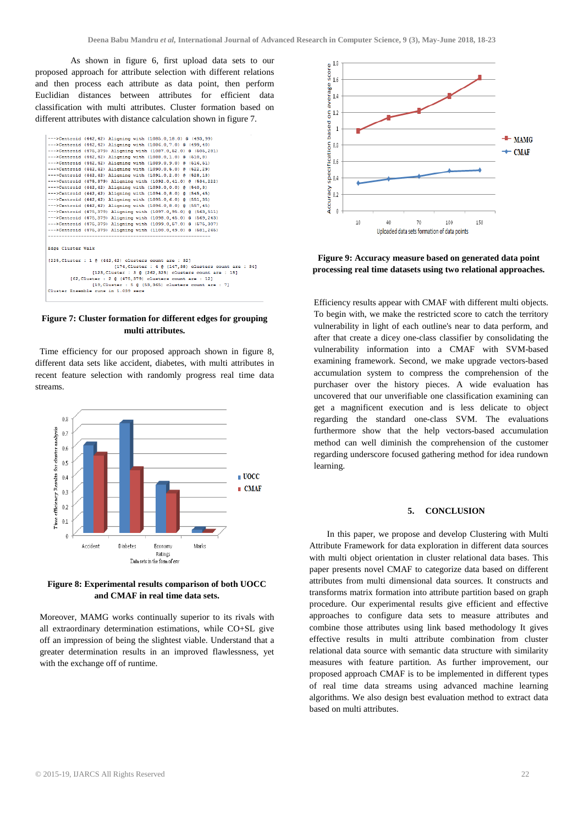As shown in figure 6, first upload data sets to our proposed approach for attribute selection with different relations and then process each attribute as data point, then perform Euclidian distances between attributes for efficient data classification with multi attributes. Cluster formation based on different attributes with distance calculation shown in figure 7.



**Figure 7: Cluster formation for different edges for grouping multi attributes.**

Time efficiency for our proposed approach shown in figure 8, different data sets like accident, diabetes, with multi attributes in recent feature selection with randomly progress real time data streams.



**Figure 8: Experimental results comparison of both UOCC and CMAF in real time data sets.**

Moreover, MAMG works continually superior to its rivals with all extraordinary determination estimations, while CO+SL give off an impression of being the slightest viable. Understand that a greater determination results in an improved flawlessness, yet with the exchange off of runtime.



**Figure 9: Accuracy measure based on generated data point processing real time datasets using two relational approaches.**

Efficiency results appear with CMAF with different multi objects. To begin with, we make the restricted score to catch the territory vulnerability in light of each outline's near to data perform, and after that create a dicey one-class classifier by consolidating the vulnerability information into a CMAF with SVM-based examining framework. Second, we make upgrade vectors-based accumulation system to compress the comprehension of the purchaser over the history pieces. A wide evaluation has uncovered that our unverifiable one classification examining can get a magnificent execution and is less delicate to object regarding the standard one-class SVM. The evaluations furthermore show that the help vectors-based accumulation method can well diminish the comprehension of the customer regarding underscore focused gathering method for idea rundown learning.

#### **5. CONCLUSION**

In this paper, we propose and develop Clustering with Multi Attribute Framework for data exploration in different data sources with multi object orientation in cluster relational data bases. This paper presents novel CMAF to categorize data based on different attributes from multi dimensional data sources. It constructs and transforms matrix formation into attribute partition based on graph procedure. Our experimental results give efficient and effective approaches to configure data sets to measure attributes and combine those attributes using link based methodology It gives effective results in multi attribute combination from cluster relational data source with semantic data structure with similarity measures with feature partition. As further improvement, our proposed approach CMAF is to be implemented in different types of real time data streams using advanced machine learning algorithms. We also design best evaluation method to extract data based on multi attributes.